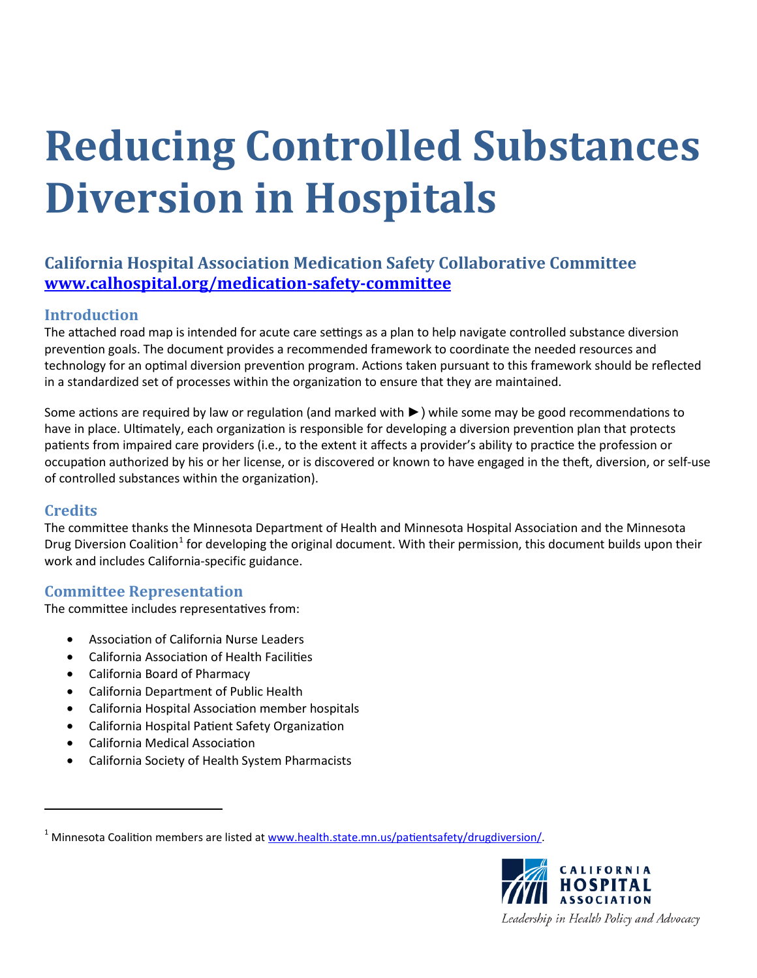# **Reducing Controlled Substances Diversion in Hospitals**

# **California Hospital Association Medication Safety Collaborative Committee [www.calhospital.org/medication-safety-committee](http://www.calhospital.org/medication-safety-committee)**

# **Introduction**

The attached road map is intended for acute care settings as a plan to help navigate controlled substance diversion prevention goals. The document provides a recommended framework to coordinate the needed resources and technology for an optimal diversion prevention program. Actions taken pursuant to this framework should be reflected in a standardized set of processes within the organization to ensure that they are maintained.

Some actions are required by law or regulation (and marked with ►) while some may be good recommendations to have in place. Ultimately, each organization is responsible for developing a diversion prevention plan that protects patients from impaired care providers (i.e., to the extent it affects a provider's ability to practice the profession or occupation authorized by his or her license, or is discovered or known to have engaged in the theft, diversion, or self-use of controlled substances within the organization).

# **Credits**

l

The committee thanks the Minnesota Department of Health and Minnesota Hospital Association and the Minnesota Drug Diversion Coalition<sup>[1](#page-0-0)</sup> for developing the original document. With their permission, this document builds upon their work and includes California-specific guidance.

# **Committee Representation**

The committee includes representatives from:

- Association of California Nurse Leader
- California Association of Health Facilities
- California Board of Pharmacy
- California Department of Public Health
- California Hospital Association member hospital
- California Hospital Patient Safety Organizati
- California Medical Associatio
- California Society of Health System Pharmacists

<span id="page-0-1"></span><span id="page-0-0"></span><sup>&</sup>lt;sup>1</sup> Minnesota Coalition members are listed at www.health.state.mn.us/patientsafety/drugdiversion/.

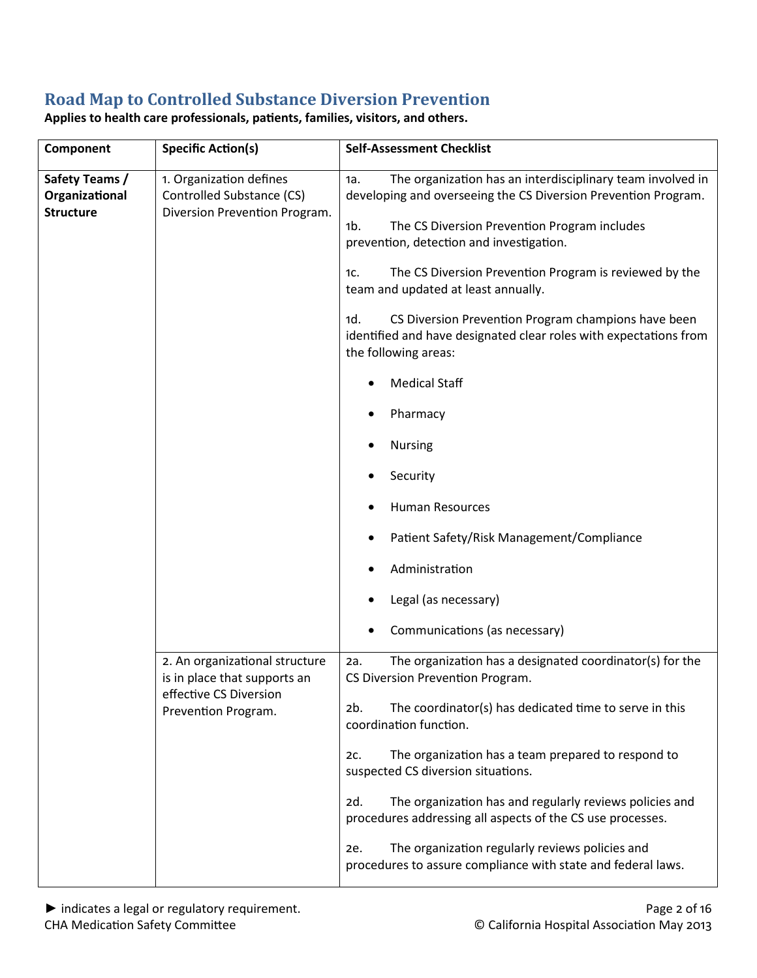# **Road Map to Controlled Substance Diversion Prevention**

| Component                        | <b>Specific Action(s)</b>                                                                | <b>Self-Assessment Checklist</b>                                                                                                                        |
|----------------------------------|------------------------------------------------------------------------------------------|---------------------------------------------------------------------------------------------------------------------------------------------------------|
| Safety Teams /<br>Organizational | 1. Organization defines<br>Controlled Substance (CS)                                     | The organization has an interdisciplinary team involved in<br>1а.<br>developing and overseeing the CS Diversion Prevention Program.                     |
| <b>Structure</b>                 | Diversion Prevention Program.                                                            | $1b$ .<br>The CS Diversion Prevention Program includes<br>prevention, detection and investigation.                                                      |
|                                  |                                                                                          | The CS Diversion Prevention Program is reviewed by the<br>1C.<br>team and updated at least annually.                                                    |
|                                  |                                                                                          | CS Diversion Prevention Program champions have been<br>1d.<br>identified and have designated clear roles with expectations from<br>the following areas: |
|                                  |                                                                                          | <b>Medical Staff</b>                                                                                                                                    |
|                                  |                                                                                          | Pharmacy                                                                                                                                                |
|                                  |                                                                                          | <b>Nursing</b>                                                                                                                                          |
|                                  |                                                                                          | Security                                                                                                                                                |
|                                  |                                                                                          | <b>Human Resources</b>                                                                                                                                  |
|                                  |                                                                                          | Patient Safety/Risk Management/Compliance                                                                                                               |
|                                  |                                                                                          | Administration                                                                                                                                          |
|                                  |                                                                                          | Legal (as necessary)                                                                                                                                    |
|                                  |                                                                                          | Communications (as necessary)                                                                                                                           |
|                                  | 2. An organizational structure<br>is in place that supports an<br>effective CS Diversion | The organization has a designated coordinator(s) for the<br>2a.<br>CS Diversion Prevention Program.                                                     |
|                                  | Prevention Program.                                                                      | The coordinator(s) has dedicated time to serve in this<br>2b.<br>coordination function.                                                                 |
|                                  |                                                                                          | The organization has a team prepared to respond to<br>2c.<br>suspected CS diversion situations.                                                         |
|                                  |                                                                                          | The organization has and regularly reviews policies and<br>2d.<br>procedures addressing all aspects of the CS use processes.                            |
|                                  |                                                                                          | The organization regularly reviews policies and<br>2e.<br>procedures to assure compliance with state and federal laws.                                  |

**Applies to health care professionals, patients, families, visitors,and others.**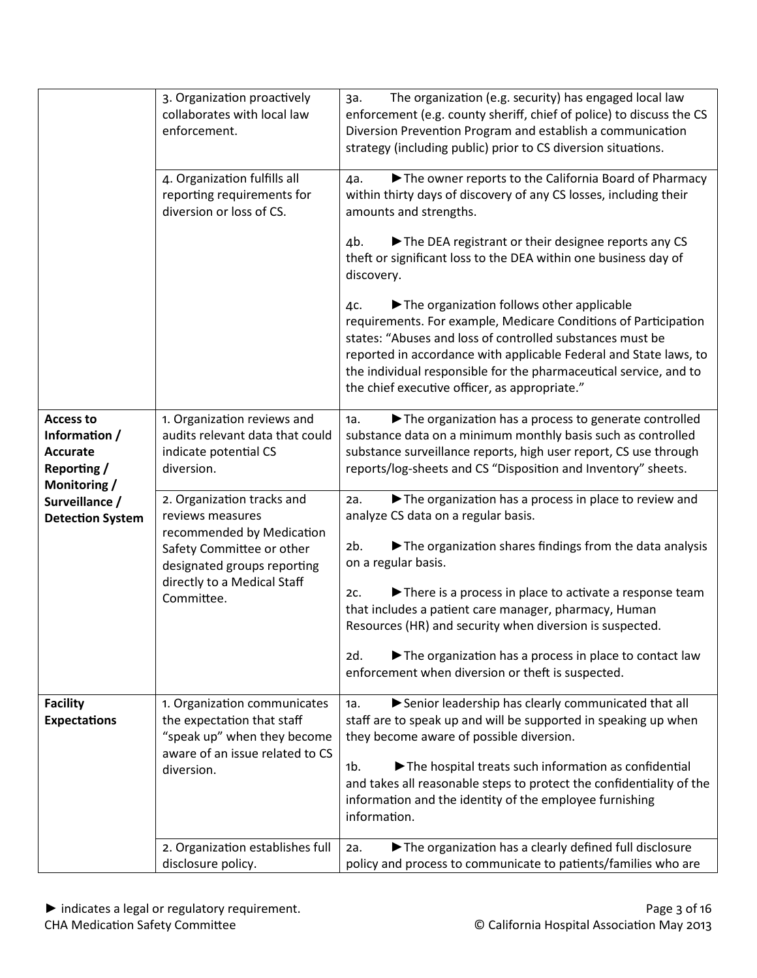|                                                                                            | 3. Organization proactively<br>collaborates with local law<br>enforcement.                                                              | The organization (e.g. security) has engaged local law<br>за.<br>enforcement (e.g. county sheriff, chief of police) to discuss the CS<br>Diversion Prevention Program and establish a communication<br>strategy (including public) prior to CS diversion situations.                                                                                                        |
|--------------------------------------------------------------------------------------------|-----------------------------------------------------------------------------------------------------------------------------------------|-----------------------------------------------------------------------------------------------------------------------------------------------------------------------------------------------------------------------------------------------------------------------------------------------------------------------------------------------------------------------------|
|                                                                                            | 4. Organization fulfills all<br>reporting requirements for<br>diversion or loss of CS.                                                  | The owner reports to the California Board of Pharmacy<br>4а.<br>within thirty days of discovery of any CS losses, including their<br>amounts and strengths.                                                                                                                                                                                                                 |
|                                                                                            |                                                                                                                                         | The DEA registrant or their designee reports any CS<br>4b.<br>theft or significant loss to the DEA within one business day of<br>discovery.                                                                                                                                                                                                                                 |
|                                                                                            |                                                                                                                                         | The organization follows other applicable<br>4c.<br>requirements. For example, Medicare Conditions of Participation<br>states: "Abuses and loss of controlled substances must be<br>reported in accordance with applicable Federal and State laws, to<br>the individual responsible for the pharmaceutical service, and to<br>the chief executive officer, as appropriate." |
| <b>Access to</b><br>Information /<br><b>Accurate</b><br><b>Reporting /</b><br>Monitoring / | 1. Organization reviews and<br>audits relevant data that could<br>indicate potential CS<br>diversion.                                   | The organization has a process to generate controlled<br>1a.<br>substance data on a minimum monthly basis such as controlled<br>substance surveillance reports, high user report, CS use through<br>reports/log-sheets and CS "Disposition and Inventory" sheets.                                                                                                           |
| Surveillance /<br><b>Detection System</b>                                                  | 2. Organization tracks and<br>reviews measures<br>recommended by Medication<br>Safety Committee or other<br>designated groups reporting | The organization has a process in place to review and<br>2a.<br>analyze CS data on a regular basis.<br>The organization shares findings from the data analysis<br>2b.<br>on a regular basis.                                                                                                                                                                                |
|                                                                                            | directly to a Medical Staff<br>Committee.                                                                                               | There is a process in place to activate a response team<br>2c.<br>that includes a patient care manager, pharmacy, Human<br>Resources (HR) and security when diversion is suspected.                                                                                                                                                                                         |
|                                                                                            |                                                                                                                                         | The organization has a process in place to contact law<br>2d.<br>enforcement when diversion or theft is suspected.                                                                                                                                                                                                                                                          |
| <b>Facility</b><br><b>Expectations</b>                                                     | 1. Organization communicates<br>the expectation that staff<br>"speak up" when they become<br>aware of an issue related to CS            | Senior leadership has clearly communicated that all<br>1a.<br>staff are to speak up and will be supported in speaking up when<br>they become aware of possible diversion.                                                                                                                                                                                                   |
|                                                                                            | diversion.                                                                                                                              | $1b$ .<br>The hospital treats such information as confidential<br>and takes all reasonable steps to protect the confidentiality of the<br>information and the identity of the employee furnishing<br>information.                                                                                                                                                           |
|                                                                                            | 2. Organization establishes full<br>disclosure policy.                                                                                  | The organization has a clearly defined full disclosure<br>2a.<br>policy and process to communicate to patients/families who are                                                                                                                                                                                                                                             |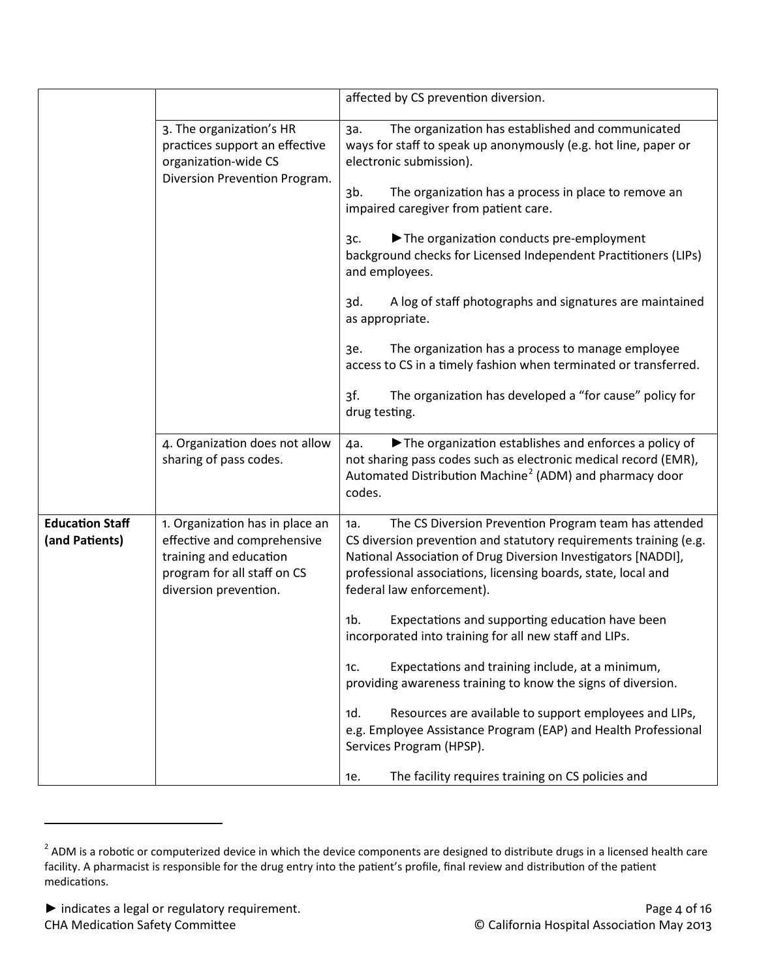|                                          |                                                                                                                                                  | affected by CS prevention diversion.                                                                                                                                                                                                                                                             |
|------------------------------------------|--------------------------------------------------------------------------------------------------------------------------------------------------|--------------------------------------------------------------------------------------------------------------------------------------------------------------------------------------------------------------------------------------------------------------------------------------------------|
|                                          | 3. The organization's HR<br>practices support an effective<br>organization-wide CS                                                               | The organization has established and communicated<br>за.<br>ways for staff to speak up anonymously (e.g. hot line, paper or<br>electronic submission).                                                                                                                                           |
|                                          | Diversion Prevention Program.                                                                                                                    | $3b$ .<br>The organization has a process in place to remove an<br>impaired caregiver from patient care.                                                                                                                                                                                          |
|                                          |                                                                                                                                                  | The organization conducts pre-employment<br>3c.<br>background checks for Licensed Independent Practitioners (LIPs)<br>and employees.                                                                                                                                                             |
|                                          |                                                                                                                                                  | A log of staff photographs and signatures are maintained<br>3d.<br>as appropriate.                                                                                                                                                                                                               |
|                                          |                                                                                                                                                  | The organization has a process to manage employee<br>3e.<br>access to CS in a timely fashion when terminated or transferred.                                                                                                                                                                     |
|                                          |                                                                                                                                                  | 3f.<br>The organization has developed a "for cause" policy for<br>drug testing.                                                                                                                                                                                                                  |
|                                          | 4. Organization does not allow<br>sharing of pass codes.                                                                                         | The organization establishes and enforces a policy of<br>4а.<br>not sharing pass codes such as electronic medical record (EMR),<br>Automated Distribution Machine <sup>2</sup> (ADM) and pharmacy door<br>codes.                                                                                 |
| <b>Education Staff</b><br>(and Patients) | 1. Organization has in place an<br>effective and comprehensive<br>training and education<br>program for all staff on CS<br>diversion prevention. | The CS Diversion Prevention Program team has attended<br>1a.<br>CS diversion prevention and statutory requirements training (e.g.<br>National Association of Drug Diversion Investigators [NADDI],<br>professional associations, licensing boards, state, local and<br>federal law enforcement). |
|                                          |                                                                                                                                                  | Expectations and supporting education have been<br>1b.<br>incorporated into training for all new staff and LIPs.                                                                                                                                                                                 |
|                                          |                                                                                                                                                  | Expectations and training include, at a minimum,<br>1C.<br>providing awareness training to know the signs of diversion.                                                                                                                                                                          |
|                                          |                                                                                                                                                  | Resources are available to support employees and LIPs,<br>1d.<br>e.g. Employee Assistance Program (EAP) and Health Professional<br>Services Program (HPSP).                                                                                                                                      |
|                                          |                                                                                                                                                  | The facility requires training on CS policies and<br>1e.                                                                                                                                                                                                                                         |

 $\overline{\phantom{0}}$ 

<span id="page-3-0"></span> $2$  ADM is a robotic or computerized device in which the device components are designed to distribute drugs in a licensed health care facility. A pharmacist is responsible for the drug entry into the patient's profile, final review and distribution of the patient medications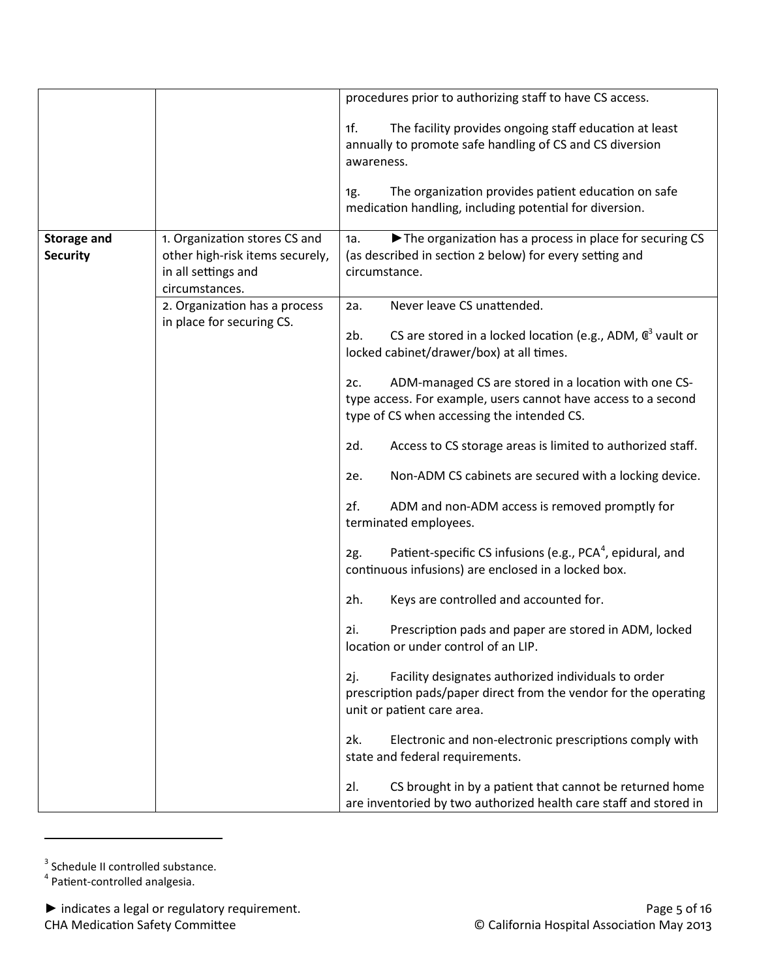|                    |                                                                  | procedures prior to authorizing staff to have CS access.                      |
|--------------------|------------------------------------------------------------------|-------------------------------------------------------------------------------|
|                    |                                                                  |                                                                               |
|                    |                                                                  | 1f.<br>The facility provides ongoing staff education at least                 |
|                    |                                                                  | annually to promote safe handling of CS and CS diversion                      |
|                    |                                                                  | awareness.                                                                    |
|                    |                                                                  |                                                                               |
|                    |                                                                  | The organization provides patient education on safe<br>1g.                    |
|                    |                                                                  | medication handling, including potential for diversion.                       |
|                    |                                                                  |                                                                               |
| <b>Storage and</b> | 1. Organization stores CS and<br>other high-risk items securely, | The organization has a process in place for securing CS<br>1a.                |
| <b>Security</b>    |                                                                  | (as described in section 2 below) for every setting and                       |
|                    | in all settings and<br>circumstances.                            | circumstance.                                                                 |
|                    |                                                                  |                                                                               |
|                    | 2. Organization has a process<br>in place for securing CS.       | Never leave CS unattended.<br>2a.                                             |
|                    |                                                                  | CS are stored in a locked location (e.g., ADM, $\mathbb{C}^3$ vault or<br>2b. |
|                    |                                                                  | locked cabinet/drawer/box) at all times.                                      |
|                    |                                                                  |                                                                               |
|                    |                                                                  | ADM-managed CS are stored in a location with one CS-<br>2c.                   |
|                    |                                                                  | type access. For example, users cannot have access to a second                |
|                    |                                                                  | type of CS when accessing the intended CS.                                    |
|                    |                                                                  |                                                                               |
|                    |                                                                  | 2d.<br>Access to CS storage areas is limited to authorized staff.             |
|                    |                                                                  | Non-ADM CS cabinets are secured with a locking device.<br>2e.                 |
|                    |                                                                  | 2f.<br>ADM and non-ADM access is removed promptly for                         |
|                    |                                                                  | terminated employees.                                                         |
|                    |                                                                  |                                                                               |
|                    |                                                                  | Patient-specific CS infusions (e.g., PCA <sup>4</sup> , epidural, and<br>2g.  |
|                    |                                                                  | continuous infusions) are enclosed in a locked box.                           |
|                    |                                                                  |                                                                               |
|                    |                                                                  | Keys are controlled and accounted for.<br>2h.                                 |
|                    |                                                                  | Prescription pads and paper are stored in ADM, locked<br>2i.                  |
|                    |                                                                  | location or under control of an LIP.                                          |
|                    |                                                                  |                                                                               |
|                    |                                                                  | Facility designates authorized individuals to order<br>2j.                    |
|                    |                                                                  | prescription pads/paper direct from the vendor for the operating              |
|                    |                                                                  | unit or patient care area.                                                    |
|                    |                                                                  |                                                                               |
|                    |                                                                  | 2k.<br>Electronic and non-electronic prescriptions comply with                |
|                    |                                                                  | state and federal requirements.                                               |
|                    |                                                                  | CS brought in by a patient that cannot be returned home<br>2l.                |
|                    |                                                                  | are inventoried by two authorized health care staff and stored in             |

<sup>&</sup>lt;sup>3</sup> Schedule II controlled substance.

<span id="page-4-1"></span>ı

■indicates a legal or regulatory requirement.<br>CHA Medication Safety Committee CHA Medication Safety Committee CHA Medication May 2013

<span id="page-4-0"></span> $4$  Patient-controlled analgesia.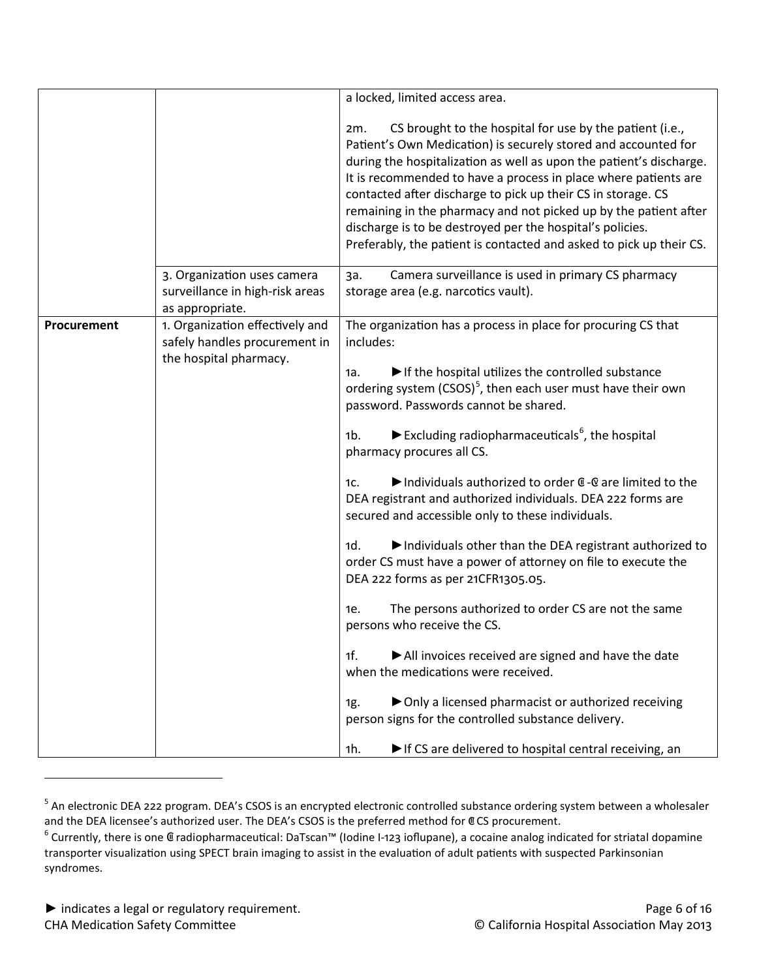|             |                                                                                            | a locked, limited access area.                                                                                                                                                                                                                                                                                                                                                                                                                                                                                                                      |
|-------------|--------------------------------------------------------------------------------------------|-----------------------------------------------------------------------------------------------------------------------------------------------------------------------------------------------------------------------------------------------------------------------------------------------------------------------------------------------------------------------------------------------------------------------------------------------------------------------------------------------------------------------------------------------------|
|             |                                                                                            | CS brought to the hospital for use by the patient (i.e.,<br>2m.<br>Patient's Own Medication) is securely stored and accounted for<br>during the hospitalization as well as upon the patient's discharge.<br>It is recommended to have a process in place where patients are<br>contacted after discharge to pick up their CS in storage. CS<br>remaining in the pharmacy and not picked up by the patient after<br>discharge is to be destroyed per the hospital's policies.<br>Preferably, the patient is contacted and asked to pick up their CS. |
|             | 3. Organization uses camera<br>surveillance in high-risk areas<br>as appropriate.          | Camera surveillance is used in primary CS pharmacy<br>3а.<br>storage area (e.g. narcotics vault).                                                                                                                                                                                                                                                                                                                                                                                                                                                   |
| Procurement | 1. Organization effectively and<br>safely handles procurement in<br>the hospital pharmacy. | The organization has a process in place for procuring CS that<br>includes:                                                                                                                                                                                                                                                                                                                                                                                                                                                                          |
|             |                                                                                            | If the hospital utilizes the controlled substance<br>1a.<br>ordering system (CSOS) <sup>5</sup> , then each user must have their own<br>password. Passwords cannot be shared.                                                                                                                                                                                                                                                                                                                                                                       |
|             |                                                                                            | Excluding radiopharmaceuticals <sup>6</sup> , the hospital<br>$1b$ .<br>pharmacy procures all CS.                                                                                                                                                                                                                                                                                                                                                                                                                                                   |
|             |                                                                                            | Individuals authorized to order C-C are limited to the<br>1C.<br>DEA registrant and authorized individuals. DEA 222 forms are<br>secured and accessible only to these individuals.                                                                                                                                                                                                                                                                                                                                                                  |
|             |                                                                                            | Individuals other than the DEA registrant authorized to<br>1d.<br>order CS must have a power of attorney on file to execute the<br>DEA 222 forms as per 21CFR1305.05.                                                                                                                                                                                                                                                                                                                                                                               |
|             |                                                                                            | The persons authorized to order CS are not the same<br>1e.<br>persons who receive the CS.                                                                                                                                                                                                                                                                                                                                                                                                                                                           |
|             |                                                                                            | 1f.<br>All invoices received are signed and have the date<br>when the medications were received.                                                                                                                                                                                                                                                                                                                                                                                                                                                    |
|             |                                                                                            | ▶ Only a licensed pharmacist or authorized receiving<br>1g.<br>person signs for the controlled substance delivery.                                                                                                                                                                                                                                                                                                                                                                                                                                  |
|             |                                                                                            | If CS are delivered to hospital central receiving, an<br>1h.                                                                                                                                                                                                                                                                                                                                                                                                                                                                                        |

<span id="page-5-1"></span><sup>&</sup>lt;sup>5</sup> An electronic DEA 222 program. DEA's CSOS is an encrypted electronic controlled substance ordering system between a wholesaler and the DEA licensee's authorized user. The DEA's CSOS is the preferred method for CCS procurement.

ı

<span id="page-5-0"></span><sup>&</sup>lt;sup>6</sup> Currently, there is one @radiopharmaceutical: DaTscan™ (Iodine I-123 ioflupane), a cocaine analog indicated for striatal dopamine transporter visualization using SPECT brain imaging to assist in the evaluation of adult patients with suspected Parkinsonian syndromes.

<sup>▶</sup> indicates a legal or regulatory requirement. example a set of 16 and 20 and 20 and 20 and 20 and 20 and 20 and 20 and 20 and 20 and 20 and 20 and 20 and 20 and 20 and 20 and 20 and 20 and 20 and 20 and 20 and 20 and 20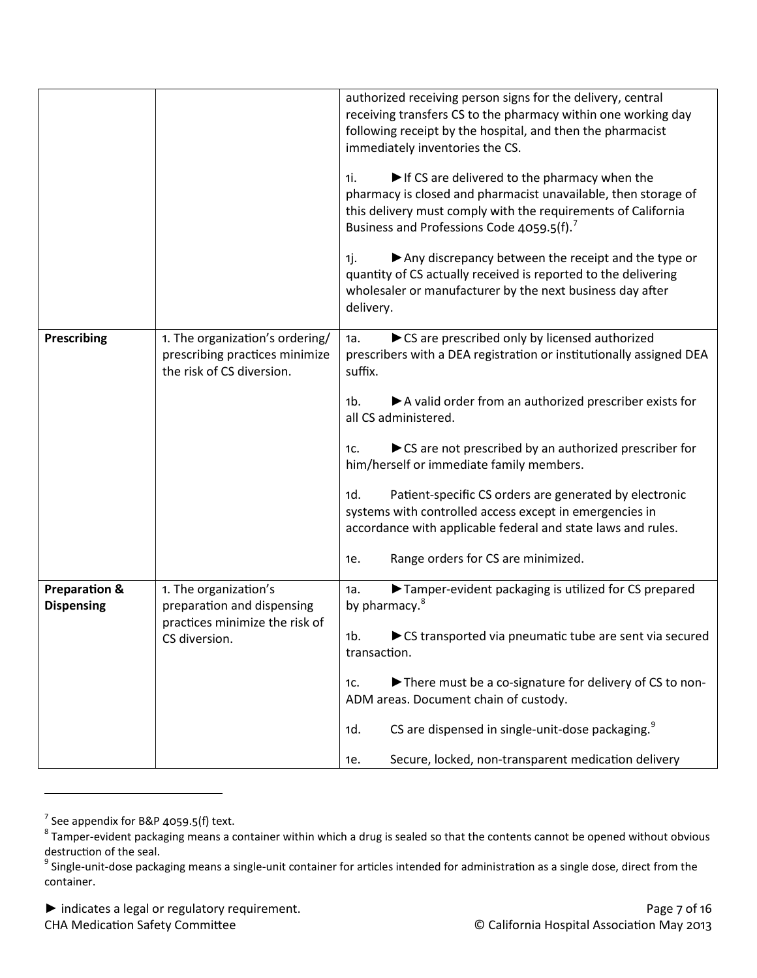|                                               |                                                                                                        | authorized receiving person signs for the delivery, central<br>receiving transfers CS to the pharmacy within one working day<br>following receipt by the hospital, and then the pharmacist<br>immediately inventories the CS.<br>$\blacktriangleright$ If CS are delivered to the pharmacy when the<br>1İ.<br>pharmacy is closed and pharmacist unavailable, then storage of<br>this delivery must comply with the requirements of California<br>Business and Professions Code 4059.5(f). <sup>7</sup><br>Any discrepancy between the receipt and the type or<br>1j.<br>quantity of CS actually received is reported to the delivering<br>wholesaler or manufacturer by the next business day after<br>delivery. |
|-----------------------------------------------|--------------------------------------------------------------------------------------------------------|------------------------------------------------------------------------------------------------------------------------------------------------------------------------------------------------------------------------------------------------------------------------------------------------------------------------------------------------------------------------------------------------------------------------------------------------------------------------------------------------------------------------------------------------------------------------------------------------------------------------------------------------------------------------------------------------------------------|
| Prescribing                                   | 1. The organization's ordering/<br>prescribing practices minimize<br>the risk of CS diversion.         | ► CS are prescribed only by licensed authorized<br>1a.<br>prescribers with a DEA registration or institutionally assigned DEA<br>suffix.<br>A valid order from an authorized prescriber exists for<br>1b.<br>all CS administered.<br>► CS are not prescribed by an authorized prescriber for<br>1C.<br>him/herself or immediate family members.<br>Patient-specific CS orders are generated by electronic<br>1d.<br>systems with controlled access except in emergencies in<br>accordance with applicable federal and state laws and rules.<br>Range orders for CS are minimized.<br>1e.                                                                                                                         |
| <b>Preparation &amp;</b><br><b>Dispensing</b> | 1. The organization's<br>preparation and dispensing<br>practices minimize the risk of<br>CS diversion. | Tamper-evident packaging is utilized for CS prepared<br>1а.<br>by pharmacy. <sup>8</sup><br>► CS transported via pneumatic tube are sent via secured<br>1b.<br>transaction.<br>There must be a co-signature for delivery of CS to non-<br>1C.<br>ADM areas. Document chain of custody.<br>CS are dispensed in single-unit-dose packaging. <sup>9</sup><br>1d.<br>Secure, locked, non-transparent medication delivery<br>1e.                                                                                                                                                                                                                                                                                      |

 $7$  See appendix for B&P 4059.5(f) text.

<span id="page-6-2"></span> $\overline{\phantom{0}}$ 

<span id="page-6-0"></span><sup>&</sup>lt;sup>8</sup> Tamper-evident packaging means a container within which a drug is sealed so that the contents cannot be opened without obvious destruction of the seal

<span id="page-6-1"></span> $9$  Single-unit-dose packaging means a single-unit container for articles intended for administration as a single dose, direct from the container.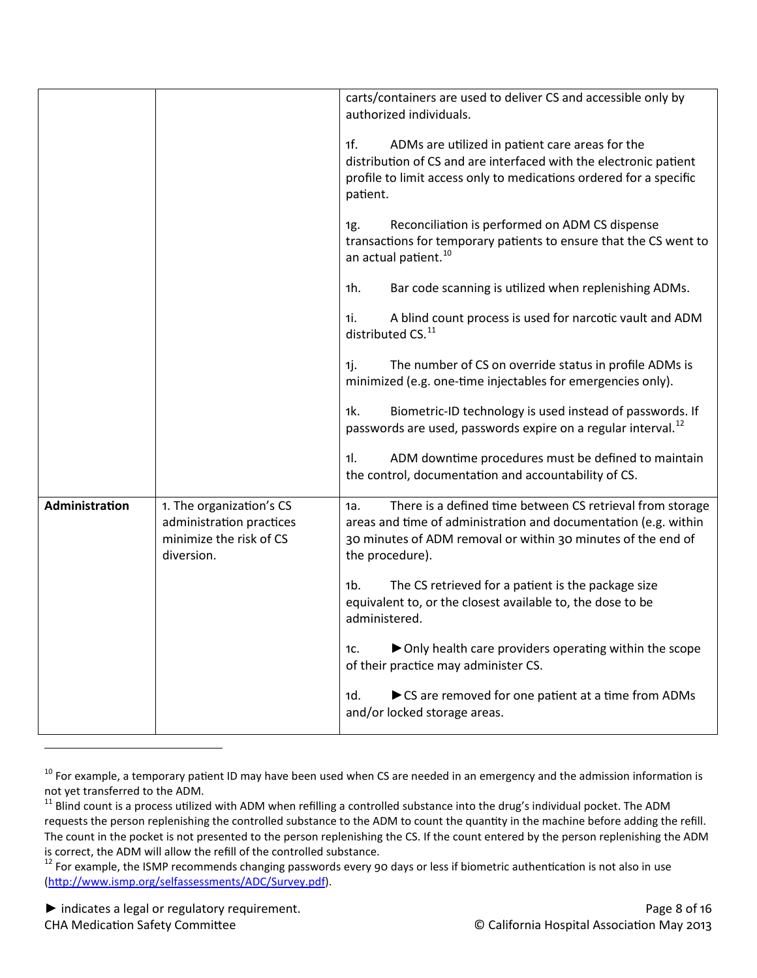|                |                                                                                               | carts/containers are used to deliver CS and accessible only by<br>authorized individuals.                                                                                                                              |
|----------------|-----------------------------------------------------------------------------------------------|------------------------------------------------------------------------------------------------------------------------------------------------------------------------------------------------------------------------|
|                |                                                                                               | 1f.<br>ADMs are utilized in patient care areas for the<br>distribution of CS and are interfaced with the electronic patient<br>profile to limit access only to medications ordered for a specific<br>patient.          |
|                |                                                                                               | Reconciliation is performed on ADM CS dispense<br>1g.<br>transactions for temporary patients to ensure that the CS went to<br>an actual patient. <sup>10</sup>                                                         |
|                |                                                                                               | 1h.<br>Bar code scanning is utilized when replenishing ADMs.                                                                                                                                                           |
|                |                                                                                               | A blind count process is used for narcotic vault and ADM<br>1İ.<br>distributed CS. <sup>11</sup>                                                                                                                       |
|                |                                                                                               | The number of CS on override status in profile ADMs is<br>$1$ j.<br>minimized (e.g. one-time injectables for emergencies only).                                                                                        |
|                |                                                                                               | Biometric-ID technology is used instead of passwords. If<br>1k.<br>passwords are used, passwords expire on a regular interval. <sup>12</sup>                                                                           |
|                |                                                                                               | 1.<br>ADM downtime procedures must be defined to maintain<br>the control, documentation and accountability of CS.                                                                                                      |
| Administration | 1. The organization's CS<br>administration practices<br>minimize the risk of CS<br>diversion. | There is a defined time between CS retrieval from storage<br>1a.<br>areas and time of administration and documentation (e.g. within<br>30 minutes of ADM removal or within 30 minutes of the end of<br>the procedure). |
|                |                                                                                               | The CS retrieved for a patient is the package size<br>1b.<br>equivalent to, or the closest available to, the dose to be<br>administered.                                                                               |
|                |                                                                                               | ▶ Only health care providers operating within the scope<br>1C.<br>of their practice may administer CS.                                                                                                                 |
|                |                                                                                               | ► CS are removed for one patient at a time from ADMs<br>1d.<br>and/or locked storage areas.                                                                                                                            |

 $10$  For example, a temporary patient ID may have been used when CS are needed in an emergency and the admission information is not yet transferred to the ADM.

► indicates a legal or regulatory requirement. example the state of 16 and 16 and 16 and 16 and 16 and 16 and 16 and 16 and 16 and 16 and 16 and 16 and 16 and 16 and 16 and 16 and 16 and 16 and 16 and 16 and 16 and 16 and

ı

<span id="page-7-0"></span> $11$  Blind count is a process utilized with ADM when refilling a controlled substance into the drug's individual pocket. The ADM requests the person replenishing the controlled substance to the ADM to count the quantity in the machine before adding the refill. The count in the pocket is not presented to the person replenishing the CS. If the count entered by the person replenishing the ADM is correct, the ADM will allow the refill of the controlled substance.

<span id="page-7-2"></span><span id="page-7-1"></span><sup>&</sup>lt;sup>12</sup> For example, the ISMP recommends changing passwords every 90 days or less if biometric authentication is not also in use ([http://www.ismp.org/selfassessments/ADC/Survey.pd\)](http://www.ismp.org/selfassessments/ADC/Survey.pdf).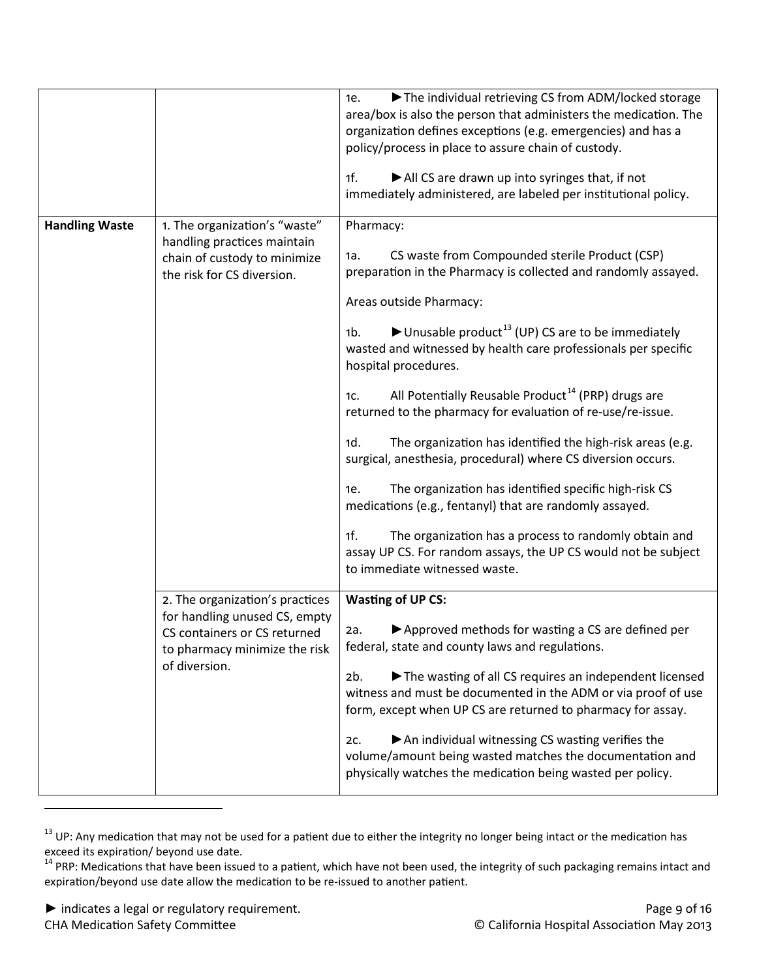|                       |                                                                                                                                                    | The individual retrieving CS from ADM/locked storage<br>1e.<br>area/box is also the person that administers the medication. The<br>organization defines exceptions (e.g. emergencies) and has a<br>policy/process in place to assure chain of custody.<br>1f.<br>All CS are drawn up into syringes that, if not<br>immediately administered, are labeled per institutional policy.                                                                                                                                                                                                                                                                                                                                                                                                                                                                                                                                                  |
|-----------------------|----------------------------------------------------------------------------------------------------------------------------------------------------|-------------------------------------------------------------------------------------------------------------------------------------------------------------------------------------------------------------------------------------------------------------------------------------------------------------------------------------------------------------------------------------------------------------------------------------------------------------------------------------------------------------------------------------------------------------------------------------------------------------------------------------------------------------------------------------------------------------------------------------------------------------------------------------------------------------------------------------------------------------------------------------------------------------------------------------|
| <b>Handling Waste</b> | 1. The organization's "waste"<br>handling practices maintain<br>chain of custody to minimize<br>the risk for CS diversion.                         | Pharmacy:<br>CS waste from Compounded sterile Product (CSP)<br>1а.<br>preparation in the Pharmacy is collected and randomly assayed.<br>Areas outside Pharmacy:<br>$\blacktriangleright$ Unusable product <sup>13</sup> (UP) CS are to be immediately<br>$1b$ .<br>wasted and witnessed by health care professionals per specific<br>hospital procedures.<br>All Potentially Reusable Product <sup>14</sup> (PRP) drugs are<br>1C.<br>returned to the pharmacy for evaluation of re-use/re-issue.<br>The organization has identified the high-risk areas (e.g.<br>1d.<br>surgical, anesthesia, procedural) where CS diversion occurs.<br>The organization has identified specific high-risk CS<br>1e.<br>medications (e.g., fentanyl) that are randomly assayed.<br>1f.<br>The organization has a process to randomly obtain and<br>assay UP CS. For random assays, the UP CS would not be subject<br>to immediate witnessed waste. |
|                       | 2. The organization's practices<br>for handling unused CS, empty<br>CS containers or CS returned<br>to pharmacy minimize the risk<br>of diversion. | <b>Wasting of UP CS:</b><br>Approved methods for wasting a CS are defined per<br>2a.<br>federal, state and county laws and regulations.<br>The wasting of all CS requires an independent licensed<br>2b.<br>witness and must be documented in the ADM or via proof of use<br>form, except when UP CS are returned to pharmacy for assay.<br>An individual witnessing CS wasting verifies the<br>2c.<br>volume/amount being wasted matches the documentation and<br>physically watches the medication being wasted per policy.                                                                                                                                                                                                                                                                                                                                                                                                       |

<sup>&</sup>lt;sup>13</sup> UP: Any medication that may not be used for a patient due to either the integrity no longer being intact or the medication has exceed its expiration/ bey

► indicates a legal or regulatory requirement. example the state of the state of the Page 9 of 16

ı

<span id="page-8-1"></span><span id="page-8-0"></span><sup>&</sup>lt;sup>14</sup> PRP: Medications that have been issued to a patient, which have not been used, the integrity of such packaging remains intact and expiration/beyond use date allow the medication to be re-issued to another patient.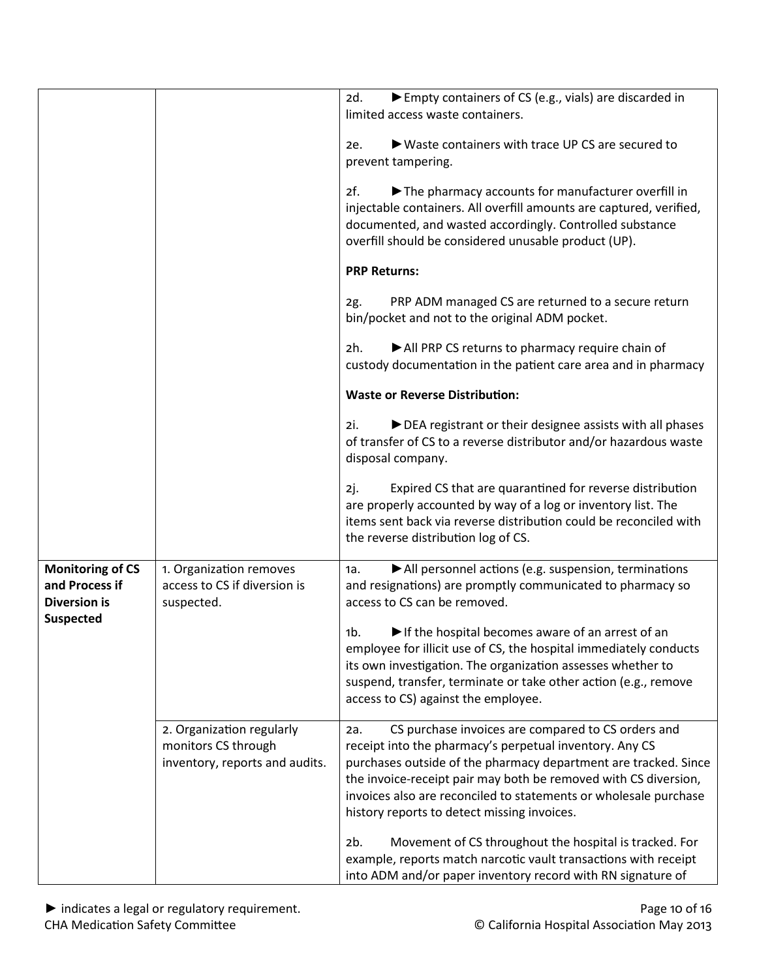|                                                                                      |                                                                                    | Empty containers of CS (e.g., vials) are discarded in<br>2d.<br>limited access waste containers.                                                                                                                                                                                                                                                                              |
|--------------------------------------------------------------------------------------|------------------------------------------------------------------------------------|-------------------------------------------------------------------------------------------------------------------------------------------------------------------------------------------------------------------------------------------------------------------------------------------------------------------------------------------------------------------------------|
|                                                                                      |                                                                                    | ▶ Waste containers with trace UP CS are secured to<br>2e.<br>prevent tampering.                                                                                                                                                                                                                                                                                               |
|                                                                                      |                                                                                    | 2f.<br>The pharmacy accounts for manufacturer overfill in<br>injectable containers. All overfill amounts are captured, verified,<br>documented, and wasted accordingly. Controlled substance<br>overfill should be considered unusable product (UP).                                                                                                                          |
|                                                                                      |                                                                                    | <b>PRP Returns:</b>                                                                                                                                                                                                                                                                                                                                                           |
|                                                                                      |                                                                                    | PRP ADM managed CS are returned to a secure return<br>2g.<br>bin/pocket and not to the original ADM pocket.                                                                                                                                                                                                                                                                   |
|                                                                                      |                                                                                    | All PRP CS returns to pharmacy require chain of<br>2h.<br>custody documentation in the patient care area and in pharmacy                                                                                                                                                                                                                                                      |
|                                                                                      |                                                                                    | <b>Waste or Reverse Distribution:</b>                                                                                                                                                                                                                                                                                                                                         |
|                                                                                      |                                                                                    | ▶ DEA registrant or their designee assists with all phases<br>2i.<br>of transfer of CS to a reverse distributor and/or hazardous waste<br>disposal company.                                                                                                                                                                                                                   |
|                                                                                      |                                                                                    | Expired CS that are quarantined for reverse distribution<br>2j.<br>are properly accounted by way of a log or inventory list. The<br>items sent back via reverse distribution could be reconciled with<br>the reverse distribution log of CS.                                                                                                                                  |
| <b>Monitoring of CS</b><br>and Process if<br><b>Diversion is</b><br><b>Suspected</b> | 1. Organization removes<br>access to CS if diversion is<br>suspected.              | All personnel actions (e.g. suspension, terminations<br>1a.<br>and resignations) are promptly communicated to pharmacy so<br>access to CS can be removed.                                                                                                                                                                                                                     |
|                                                                                      |                                                                                    | $\blacktriangleright$ If the hospital becomes aware of an arrest of an<br>1b.<br>employee for illicit use of CS, the hospital immediately conducts<br>its own investigation. The organization assesses whether to<br>suspend, transfer, terminate or take other action (e.g., remove<br>access to CS) against the employee.                                                   |
|                                                                                      | 2. Organization regularly<br>monitors CS through<br>inventory, reports and audits. | CS purchase invoices are compared to CS orders and<br>2a.<br>receipt into the pharmacy's perpetual inventory. Any CS<br>purchases outside of the pharmacy department are tracked. Since<br>the invoice-receipt pair may both be removed with CS diversion,<br>invoices also are reconciled to statements or wholesale purchase<br>history reports to detect missing invoices. |
|                                                                                      |                                                                                    | Movement of CS throughout the hospital is tracked. For<br>2b.<br>example, reports match narcotic vault transactions with receipt<br>into ADM and/or paper inventory record with RN signature of                                                                                                                                                                               |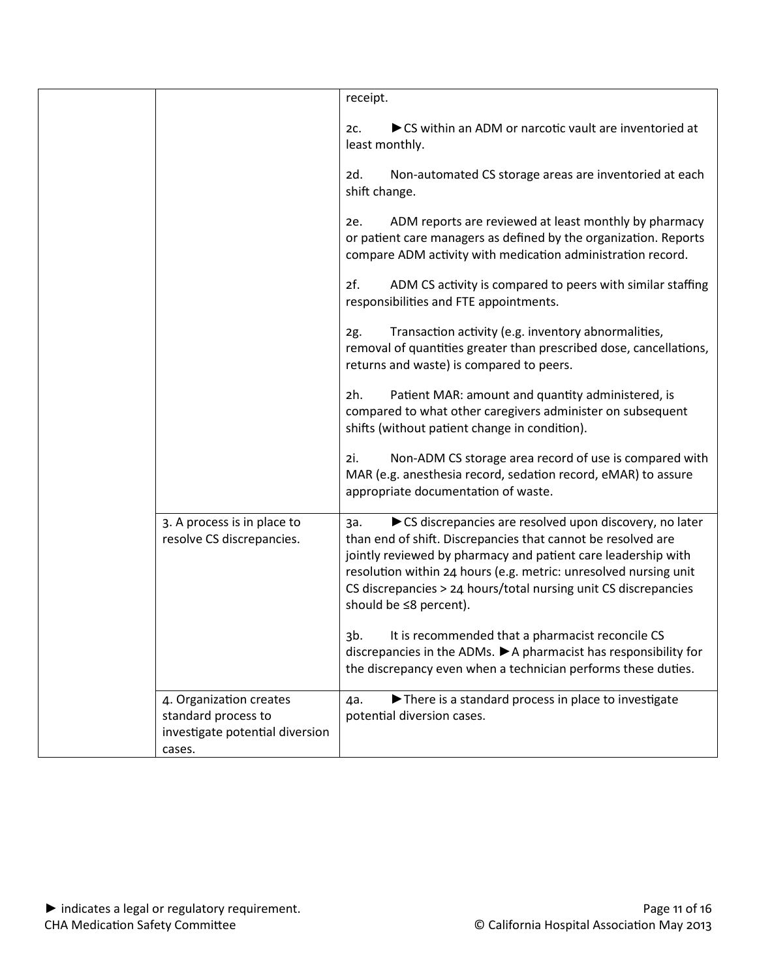|                                                                                             | receipt.                                                                                                                                                                                                                                                                                                                                                          |
|---------------------------------------------------------------------------------------------|-------------------------------------------------------------------------------------------------------------------------------------------------------------------------------------------------------------------------------------------------------------------------------------------------------------------------------------------------------------------|
|                                                                                             | ► CS within an ADM or narcotic vault are inventoried at<br>2c.<br>least monthly.                                                                                                                                                                                                                                                                                  |
|                                                                                             | 2d.<br>Non-automated CS storage areas are inventoried at each<br>shift change.                                                                                                                                                                                                                                                                                    |
|                                                                                             | ADM reports are reviewed at least monthly by pharmacy<br>2e.<br>or patient care managers as defined by the organization. Reports<br>compare ADM activity with medication administration record.                                                                                                                                                                   |
|                                                                                             | 2f.<br>ADM CS activity is compared to peers with similar staffing<br>responsibilities and FTE appointments.                                                                                                                                                                                                                                                       |
|                                                                                             | Transaction activity (e.g. inventory abnormalities,<br>2g.<br>removal of quantities greater than prescribed dose, cancellations,<br>returns and waste) is compared to peers.                                                                                                                                                                                      |
|                                                                                             | Patient MAR: amount and quantity administered, is<br>2h.<br>compared to what other caregivers administer on subsequent<br>shifts (without patient change in condition).                                                                                                                                                                                           |
|                                                                                             | Non-ADM CS storage area record of use is compared with<br>2i.<br>MAR (e.g. anesthesia record, sedation record, eMAR) to assure<br>appropriate documentation of waste.                                                                                                                                                                                             |
| 3. A process is in place to<br>resolve CS discrepancies.                                    | ► CS discrepancies are resolved upon discovery, no later<br>за.<br>than end of shift. Discrepancies that cannot be resolved are<br>jointly reviewed by pharmacy and patient care leadership with<br>resolution within 24 hours (e.g. metric: unresolved nursing unit<br>CS discrepancies > 24 hours/total nursing unit CS discrepancies<br>should be ≤8 percent). |
|                                                                                             | It is recommended that a pharmacist reconcile CS<br>3b.<br>discrepancies in the ADMs. ▶ A pharmacist has responsibility for<br>the discrepancy even when a technician performs these duties.                                                                                                                                                                      |
| 4. Organization creates<br>standard process to<br>investigate potential diversion<br>cases. | There is a standard process in place to investigate<br>4а.<br>potential diversion cases.                                                                                                                                                                                                                                                                          |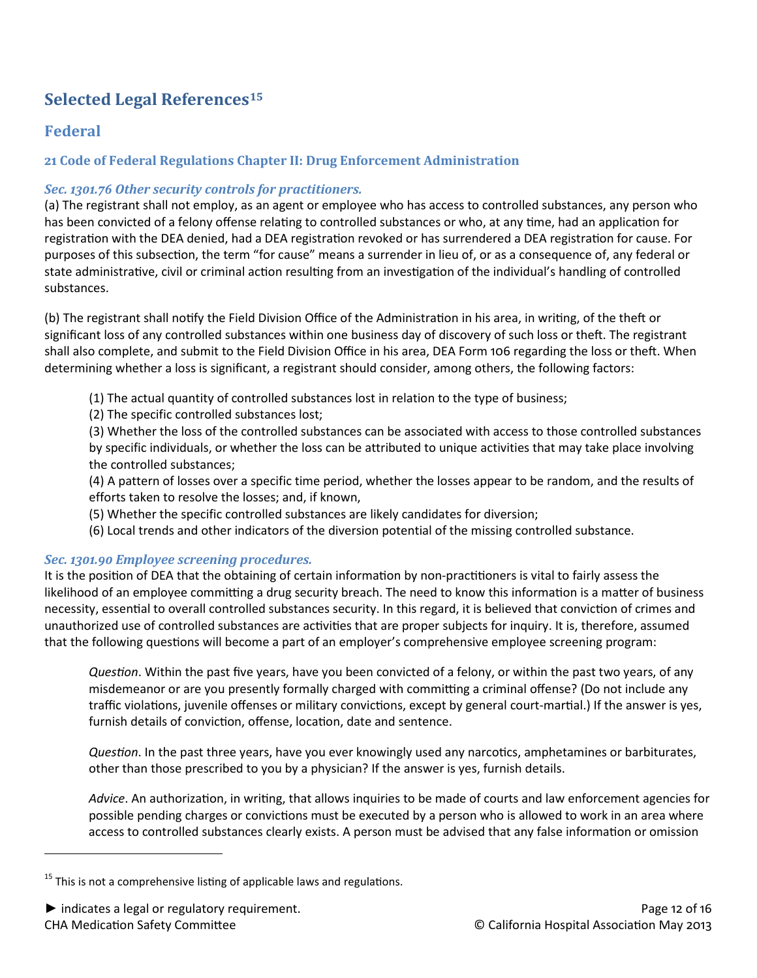# **Selected Legal References[15](#page-8-1)**

# **Federal**

# **21 Code of Federal Regulations Chapter II: Drug Enforcement Administration**

# *Sec. 1301.76 Other security controls for practitioners.*

(a) The registrant shall not employ, as an agent or employee who has access to controlled substances, any person who has been convicted of a felony offense relating to controlled substances or who, at any time, had an application for registration with the DEA denied, had a DEA registration revoked or has surrendered a DEA registration for cause. purposes of this subsection, the term "for cause" means a surrender in lieu of, or as a consequence of, any federal or state administrative, civil or criminal action resulting from an investigation of the individual's handling of controlled substances.

(b) The registrant shall notify the Field Division Office of the Administration in his area, in writing, of the theft or significant loss of any controlled substances within one business day of discovery of such loss or theft. The registrant shall also complete, and submit to the Field Division Office in his area, DEA Form 106 regarding the loss or theft. When determining whether a loss is significant, a registrant should consider, among others, the following factors:

- (1) The actual quantity of controlled substances lost in relation to the type of business;
- (2) The specific controlled substances lost;

(3) Whether the loss of the controlled substances can be associated with access to those controlled substances by specific individuals, or whether the loss can be attributed to unique activities that may take place involving the controlled substances;

(4) A pattern of losses over a specific time period, whether the losses appear to be random, and the results of efforts taken to resolve the losses; and, if known,

- (5) Whether the specific controlled substances are likely candidates for diversion;
- (6) Local trends and other indicators of the diversion potential of the missing controlled substance.

# *Sec. 1301.90 Employee screening procedures.*

It is the position of DEA that the obtaining of certain information by non-practitioners is vital to fairly assess the likelihood of an employee committing a drug security breach. The need to know this information is a matter of business necessity, essential to overall controlled substances security. In this regard, it is believed that conviction of crimes and unauthorized use of controlled substances are activities that are proper subjects for inquiry. It is, therefore, assumed that the following questions will become a part of an employe's comprehensive employee screening program:

*Questio*. Within the past five years, have youbeen convicted of a felony, or within the past two years, of any misdemeanor or are you presently formally charged with committing a criminal offense? (Do not include any traffic violations, juvenile offenses or military convictions, except by general court-martial.) If the answer is yes, furnish details of conviction, offense, location, date and sentence.

*Questio*. In the past three years, have you ever knowingly used any narcotics, amphetamines or barbiturates, other than those prescribed to you by a physician? If the answer is yes, furnish details.

*Advice*. An authorization, in writing, that allows inquiries to be made of courts and law enforcement agencies fo possible pending charges or convictions must be executed by a person who is allowed to work in an area where access to controlled substances clearly exists. A person must be advised that any false information or omission

► indicates a legal or regulatory requirement. example the state of 16 and 16 and 16 and 16 and 16 and 16 and 16 and 16 and 16 and 16 and 16 and 16 and 16 and 16 and 16 and 16 and 16 and 16 and 16 and 16 and 16 and 16 and CHA Medication Safety Committee **CHA Medication Safety Committee California** California Hospital Association May 2013

l

<span id="page-11-0"></span> $15$  This is not a comprehensive listing of applicable laws and regulations.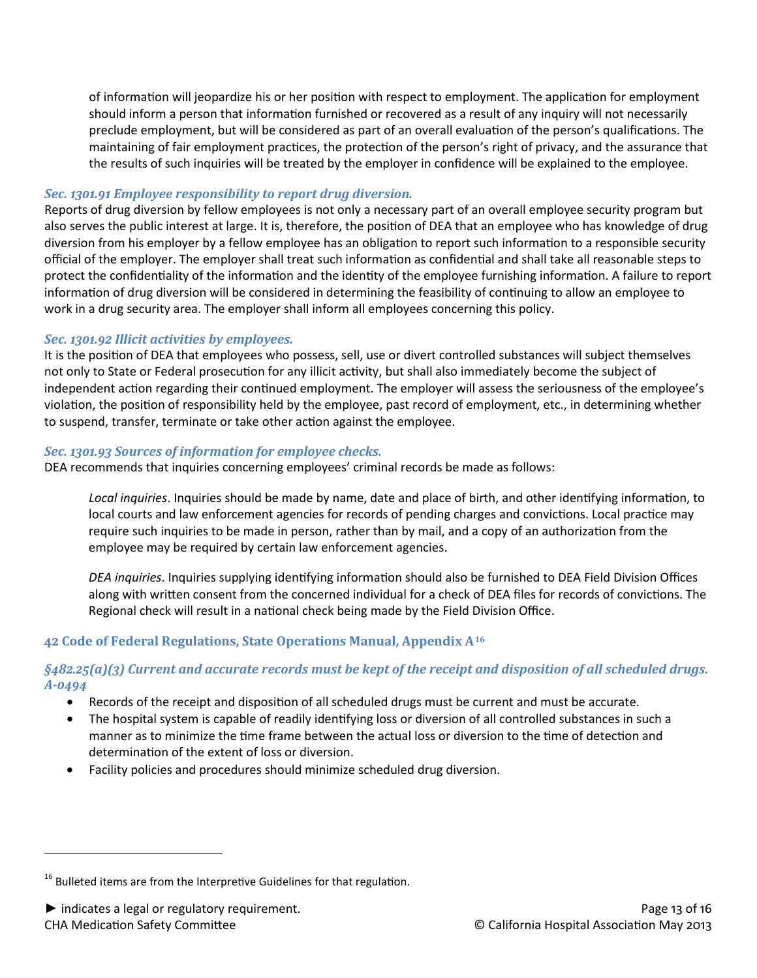ofinformation will jeopardize his or her position with respect to employment. The application for employme should inform a person that information furnished or recovered as a result of any inquiry will not necessarily preclude employment, but will be considered as part of an overall evaluation of the person's qualifications. The maintaining of fair employment practices, the protection of the person's right of privacy, and the assurance that the results of such inquiries will be treated by the employer in confidence will be explained to the employee.

### *Sec. 1301.91 Employee responsibility to report drug diversion.*

Reports of drug diversion by fellow employees is not only a necessary part of an overall employee security program but also serves the public interest at large. It is, therefore, the position of DEA that an employee who has knowledge of drug diversion from his employer by a fellow employee has an obligation to report such information to a responsible security official of the employer. The employer shall treat such information as confidential and shall take all reasonable steps to protect the confidentiality of the information and the identity of the employee furnishing information. A failure to report information of drug diversion will be considered in determining the feasibility of continuing to allow an employee to work in a drug security area. The employer shall inform all employees concerning this policy.

#### *Sec. 1301.92 Illicit activities by employees.*

It is the position of DEA that employees who possess, sell, use or divert controlled substances will subject themselves not only to State or Federal prosecution for any illicit activity, but shall also immediately become the subject of independent action regarding their continued employment. The employer will assess the seriousness of the employee's violation, the position of responsibility held by the employee, past record of employment, etc., in determining whethe to suspend, transfer, terminate or take other action against the employee.

#### *Sec. 1301.93 Sources of information for employee checks.*

DEA recommends that inquiries concerning employees' criminal records be made as follows:

Local inquiries. Inquiries should be made by name, date and place of birth, and other identifying information, to local courts and law enforcement agencies for records of pending charges and convictions. Local practice may require such inquiries to be made in person, rather than by mail, and a copy of an authorization from the employee may be required by certain law enforcement agencies.

DEA inquiries. Inquiries supplying identifying information should also be furnished to DEA Field Division Offices along with written consent from the concerned individual for a check of DEA files for records of convictions. The Regional check will result in a national check being made by the Field Division Office.

## **42 Code of Federal Regulations, State Operations Manual, Appendix A[16](#page-11-0)**

## *§482.25(a)(3) Current and accurate records must be kept of the receipt and disposition of all scheduled drugs. A-0494*

- Records of the receipt and disposition of all scheduled drugs must be current and must be accurate.
- The hospital system is capable of readily identifying loss or diversion of all controlled substances in such a manner as to minimize the time frame between the actual loss or diversion to the time of detection and determination of the extent of loss or diversion
- Facility policies and procedures should minimize scheduled drug diversion.

l

 $16$  Bulleted items are from the Interpretive Guidelines for that regulation.

<sup>►</sup> indicates a legal or regulatory requirement. example the state of the state of the page 13 of 16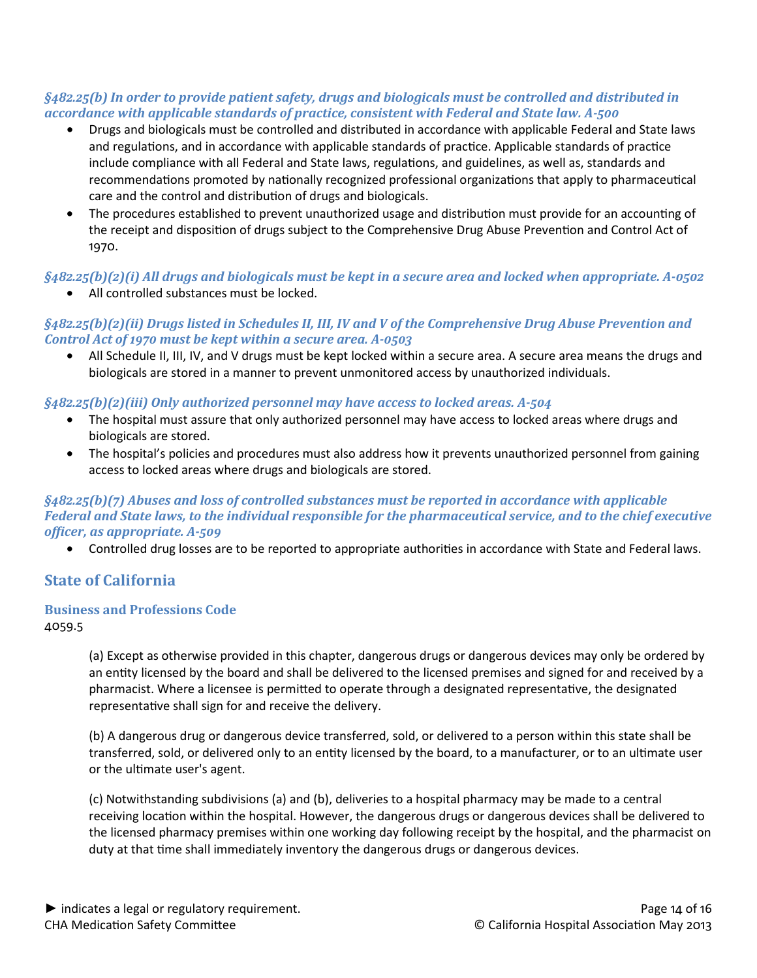#### *§482.25(b) In order to provide patient safety, drugs and biologicals must be controlled and distributed in accordance with applicable standards of practice, consistent with Federal and State law. A-500*

- Drugs and biologicals must be controlled and distributed in accordance with applicable Federal and State laws and regulations, and in accordance with applicable standards of practice. Applicable standards of practice include compliance with all Federal and State laws, regulations, and guidelines, as well as, standards and recommendations promoted by nationally recognized professional organizations that apply to pharmaceutical care and the control and distribution of drugs and biologicals
- The procedures established to prevent unauthorized usage and distribution must provide for an accounting of the receipt and disposition of drugs subject to the Comprehensive Drug Abuse Prevention and Control Act of 1970.

## *§482.25(b)(2)(i) All drugs and biologicals must be kept in a secure area and locked when appropriate. A-0502*

• All controlled substances must be locked.

## *§482.25(b)(2)(ii) Drugs listed in Schedules II, III, IV and V of the Comprehensive Drug Abuse Prevention and Control Act of 1970 must be kept within a secure area. A-0503*

• All Schedule II, III, IV, and V drugs must be kept locked within a secure area. A secure area means the drugs and biologicals are stored in a manner to prevent unmonitored access by unauthorized individuals.

## *§482.25(b)(2)(iii) Only authorized personnel may have access to locked areas. A-504*

- The hospital must assure that only authorized personnel may have access to locked areas where drugs and biologicals are stored.
- The hospital's policies and procedures must also address how it prevents unauthorized personnel from gaining access to locked areas where drugs and biologicals are stored.

## *§482.25(b)(7) Abuses and loss of controlled substances must be reported in accordance with applicable Federal and State laws, to the individual responsible for the pharmaceutical service, and to the chief executive of�icer, as appropriate. A-509*

• Controlled drug losses are to be reported to appropriate authorities in accordance with State and Federal laws.

# **State of California**

# **Business and Professions Code**

4059.5

(a) Except as otherwise provided in this chapter, dangerous drugs or dangerous devices may only be ordered by an entity licensed by the board and shall be delivered to the licensed premises and signed for and received by a pharmacist. Where a licensee is permitted to operate through a designated representative, the designated representative shall sign for and receive the delivery

(b) A dangerous drug or dangerous device transferred, sold, or delivered to a person within this state shall be transferred, sold, or delivered only to an entity licensed by the board, to a manufacturer, or to an ultimate user or the ultimate user's agent.

(c) Notwithstanding subdivisions (a) and (b), deliveries to a hospital pharmacy may be made to a central receiving location within the hospital. However, the dangerous drugs or dangerous devices shall be delivered to the licensed pharmacy premises within one working day following receipt by the hospital, and the pharmacist on duty at that time shall immediately inventory the dangerous drugs or dangerous devices.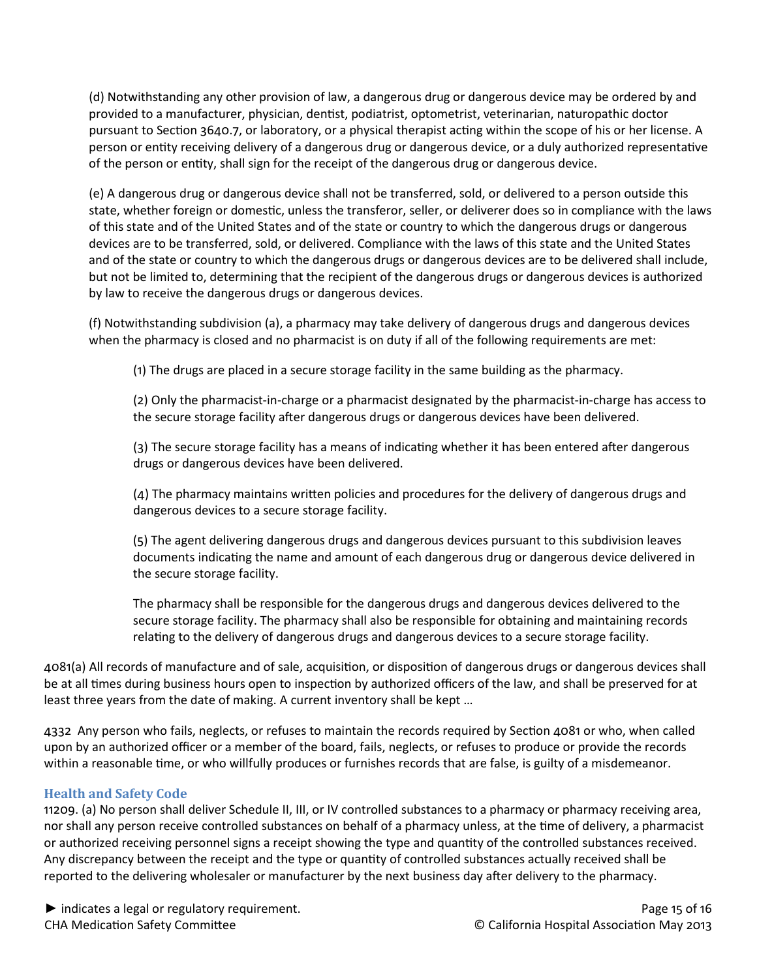(d) Notwithstanding any other provision of law, a dangerous drug or dangerous device may be ordered by and provided to a manufacturer, physician, dentist, podiatrist, optometrist, veterinarian, naturopathic doctor pursuant to Section 3640.7, or laboratory, or a physcal therapist acting within the scope of his or her license. A person or entity receiving delivery of a dangerous drug or dangerous device, or a duly authorized representative of the person or entity, shall sign for the receipt of the dangerous drug or dangerous device.

(e) A dangerous drug or dangerous device shall not be transferred, sold, or delivered to a person outside this state, whether foreign or domestic, unless the transferor, seller, or deliverer does so in compliance with the laws of this state and of the United States and of the state or country to which the dangerous drugs or dangerous devices are to be transferred, sold, or delivered. Compliance with the laws of this state and the United States and of the state or country to which the dangerous drugs or dangerous devices are to be delivered shall include, but not be limited to, determining that the recipient of the dangerous drugs or dangerous devices is authorized by law to receive the dangerous drugs or dangerous devices.

(f) Notwithstanding subdivision (a), a pharmacy may take delivery of dangerous drugs and dangerous devices when the pharmacy is closed and no pharmacist is on duty if all of the following requirements are met:

(1) The drugs are placedin a secure storage facility in the same building as the pharmacy.

(2)Only the pharmacist-in-charge or a pharmacist designatedby the pharmacist-in-charge has access to the secure storage facility after dangerous drugs or dangerous devices have been delivered

(3) The secure storage facility has a means of indicating whether it has been entered after dangerous drugs or dangerous devices have been delivered.

(4) The pharmacy maintains written policies and procedures for the delivery of dangerous drugs and dangerous devices to a secure storage facility.

(5) The agent delivering dangerous drugs and dangerous devices pursuant to this subdivision leaves documents indicating the name and amount of each dangerous drug or dangerous device delivered in the secure storage facility.

The pharmacy shall be responsible for the dangerous drugs and dangerous devices delivered to the secure storage facility. The pharmacy shall also be responsible for obtaining and maintaining records relating to the delivery of dangerous drugs and dangerous devices to a secure storage facility.

4081(a) Allrecords ofmanufacture and ofsale, acquisition, or disposition of dangerous drugs or dangerous devices sha be at all times during business hours open to inspection by authorized officers of the law, and shall be preserved for at least three years from the date of making. A current inventory shall be kept ...

4332 Any person who fails, neglects, or refuses to maintain the records required by Section 4081 or who, when called upon by an authorized officer or a member of the board, fails, neglects, or refuses to produce or provide the records within a reasonable time, or who willfully produces or furnishes records that are false, is guilty of a misdemeanor.

## **Health and Safety Code**

11209. (a) No person shall deliver Schedule II, III, or IV controlled substances to a pharmacy or pharmacy receiving area, nor shall any person receive controlled substances on behalf of a pharmacy unless, at the time of delivery, a pharmacist or authorized receiving personnel signs a receipt showing the type and quantity of the controlled substances received. Any discrepancy between the receipt and the type or quantity of controlled substances actually received shall be reported to the delivering wholesaler or manufacturer by the next business day after delivery to the pharmacy.

► indicates a legal or regulatory requirement. And the state of 16 and 16 and 16 and 16 and 16 and 16 and 16 and 16 and 16 and 16 and 16 and 16 and 16 and 16 and 16 and 16 and 16 and 16 and 16 and 16 and 16 and 16 and 16 CHA Medication Safety Committee **CHA Medication Safety Committee California** California Hospital Association May 2013